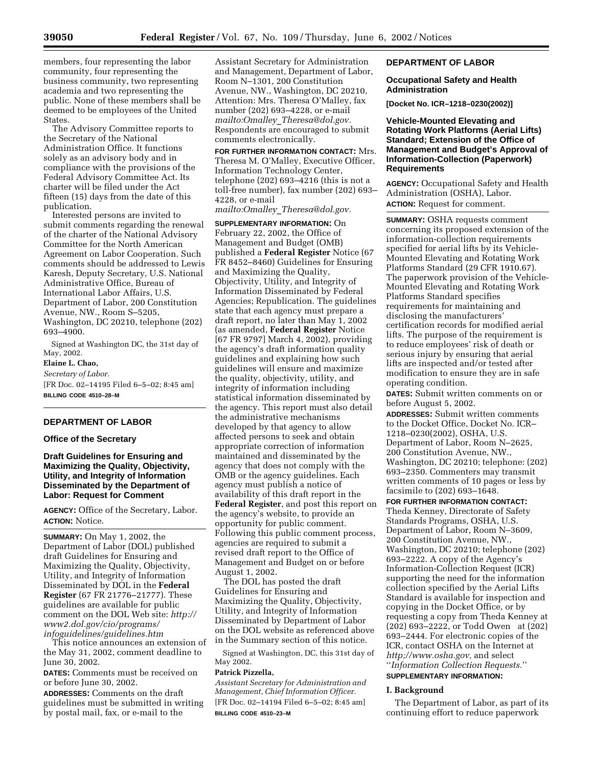members, four representing the labor community, four representing the business community, two representing academia and two representing the public. None of these members shall be deemed to be employees of the United States.

The Advisory Committee reports to the Secretary of the National Administration Office. It functions solely as an advisory body and in compliance with the provisions of the Federal Advisory Committee Act. Its charter will be filed under the Act fifteen (15) days from the date of this publication.

Interested persons are invited to submit comments regarding the renewal of the charter of the National Advisory Committee for the North American Agreement on Labor Cooperation. Such comments should be addressed to Lewis Karesh, Deputy Secretary, U.S. National Administrative Office, Bureau of International Labor Affairs, U.S. Department of Labor, 200 Constitution Avenue, NW., Room S–5205, Washington, DC 20210, telephone (202) 693–4900.

Signed at Washington DC, the 31st day of May, 2002.

# **Elaine L. Chao,**

*Secretary of Labor.* [FR Doc. 02–14195 Filed 6–5–02; 8:45 am] **BILLING CODE 4510–28–M**

## **DEPARTMENT OF LABOR**

#### **Office of the Secretary**

**Draft Guidelines for Ensuring and Maximizing the Quality, Objectivity, Utility, and Integrity of Information Disseminated by the Department of Labor: Request for Comment**

**AGENCY:** Office of the Secretary, Labor. **ACTION:** Notice.

**SUMMARY:** On May 1, 2002, the Department of Labor (DOL) published draft Guidelines for Ensuring and Maximizing the Quality, Objectivity, Utility, and Integrity of Information Disseminated by DOL in the **Federal Register** (67 FR 21776–21777). These guidelines are available for public comment on the DOL Web site: *http:// www2.dol.gov/cio/programs/ infoguidelines/guidelines.htm*

This notice announces an extension of the May 31, 2002, comment deadline to June 30, 2002.

**DATES:** Comments must be received on or before June 30, 2002.

**ADDRESSES:** Comments on the draft guidelines must be submitted in writing by postal mail, fax, or e-mail to the

Assistant Secretary for Administration and Management, Department of Labor, Room N–1301, 200 Constitution Avenue, NW., Washington, DC 20210, Attention: Mrs. Theresa O'Malley, fax number (202) 693–4228, or e-mail *mailto:Omalley*\_*Theresa@dol.gov.* Respondents are encouraged to submit comments electronically.

**FOR FURTHER INFORMATION CONTACT:** Mrs. Theresa M. O'Malley, Executive Officer, Information Technology Center, telephone (202) 693–4216 (this is not a toll-free number), fax number (202) 693– 4228, or e-mail

*mailto:Omalley*\_*Theresa@dol.gov.*

**SUPPLEMENTARY INFORMATION:** On February 22, 2002, the Office of Management and Budget (OMB) published a **Federal Register** Notice (67 FR 8452–8460) Guidelines for Ensuring and Maximizing the Quality, Objectivity, Utility, and Integrity of Information Disseminated by Federal Agencies; Republication. The guidelines state that each agency must prepare a draft report, no later than May 1, 2002 (as amended, **Federal Register** Notice [67 FR 9797] March 4, 2002), providing the agency's draft information quality guidelines and explaining how such guidelines will ensure and maximize the quality, objectivity, utility, and integrity of information including statistical information disseminated by the agency. This report must also detail the administrative mechanisms developed by that agency to allow affected persons to seek and obtain appropriate correction of information maintained and disseminated by the agency that does not comply with the OMB or the agency guidelines. Each agency must publish a notice of availability of this draft report in the **Federal Register**, and post this report on the agency's website, to provide an opportunity for public comment. Following this public comment process, agencies are required to submit a revised draft report to the Office of Management and Budget on or before August 1, 2002.

The DOL has posted the draft Guidelines for Ensuring and Maximizing the Quality, Objectivity, Utility, and Integrity of Information Disseminated by Department of Labor on the DOL website as referenced above in the Summary section of this notice.

Signed at Washington, DC, this 31st day of May 2002.

## **Patrick Pizzella,**

*Assistant Secretary for Administration and Management, Chief Information Officer.* [FR Doc. 02–14194 Filed 6–5–02; 8:45 am] **BILLING CODE 4510–23–M**

## **DEPARTMENT OF LABOR**

**Occupational Safety and Health Administration** 

**[Docket No. ICR–1218–0230(2002)]** 

**Vehicle-Mounted Elevating and Rotating Work Platforms (Aerial Lifts) Standard; Extension of the Office of Management and Budget's Approval of Information-Collection (Paperwork) Requirements**

**AGENCY:** Occupational Safety and Health Administration (OSHA), Labor. **ACTION:** Request for comment.

**SUMMARY:** OSHA requests comment concerning its proposed extension of the information-collection requirements specified for aerial lifts by its Vehicle-Mounted Elevating and Rotating Work Platforms Standard (29 CFR 1910.67). The paperwork provision of the Vehicle-Mounted Elevating and Rotating Work Platforms Standard specifies requirements for maintaining and disclosing the manufacturers' certification records for modified aerial lifts. The purpose of the requirement is to reduce employees' risk of death or serious injury by ensuring that aerial lifts are inspected and/or tested after modification to ensure they are in safe operating condition.

**DATES:** Submit written comments on or before August 5, 2002.

**ADDRESSES:** Submit written comments to the Docket Office, Docket No. ICR– 1218–0230(2002), OSHA, U.S. Department of Labor, Room N–2625, 200 Constitution Avenue, NW., Washington, DC 20210; telephone: (202) 693–2350. Commenters may transmit written comments of 10 pages or less by facsimile to (202) 693–1648.

## **FOR FURTHER INFORMATION CONTACT:**

Theda Kenney, Directorate of Safety Standards Programs, OSHA, U.S. Department of Labor, Room N–3609, 200 Constitution Avenue, NW., Washington, DC 20210; telephone (202) 693–2222. A copy of the Agency's Information-Collection Request (ICR) supporting the need for the information collection specified by the Aerial Lifts Standard is available for inspection and copying in the Docket Office, or by requesting a copy from Theda Kenney at (202) 693–2222, or Todd Owen at (202) 693–2444. For electronic copies of the ICR, contact OSHA on the Internet at *http;//www.osha.gov,* and select ''*Information Collection Requests.*''

# **SUPPLEMENTARY INFORMATION:**

## **I. Background**

The Department of Labor, as part of its continuing effort to reduce paperwork